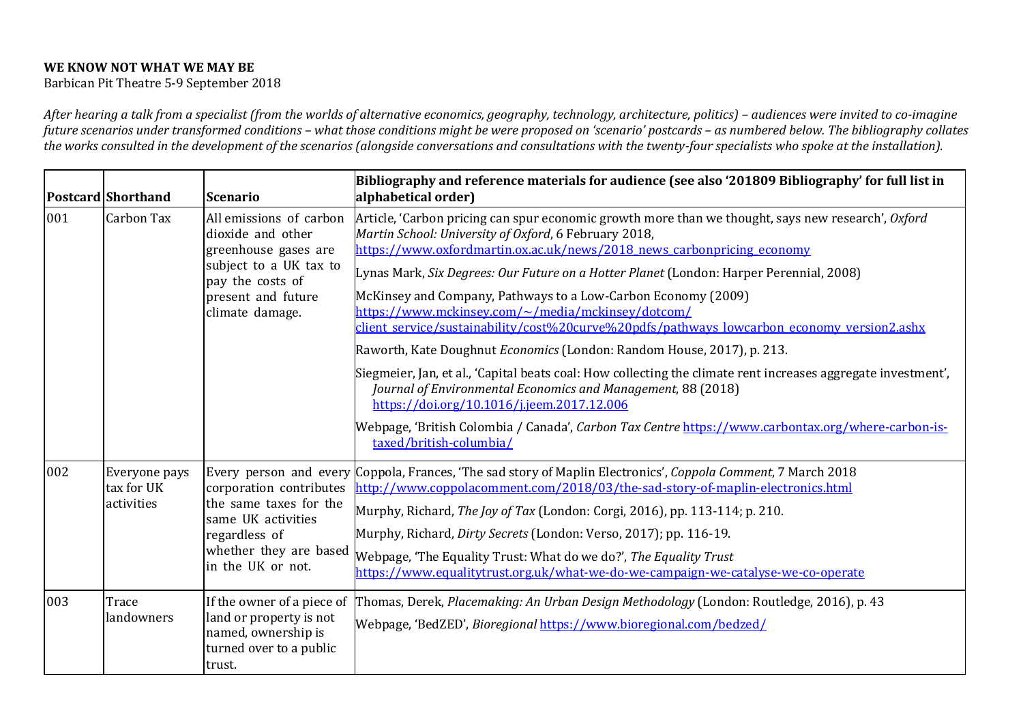## WE KNOW NOT WHAT WE MAY BE

Barbican Pit Theatre 5-9 September 2018

After hearing a talk from a specialist (from the worlds of alternative economics, geography, technology, architecture, politics) – audiences were invited to co-imagine future scenarios under transformed conditions – what those conditions might be were proposed on 'scenario' postcards – as numbered below. The bibliography collates the works consulted in the development of the scenarios (alongside conversations and consultations with the twenty-four specialists who spoke at the installation).

|     | Postcard Shorthand                        | <b>Scenario</b>                                                                                                                                             | Bibliography and reference materials for audience (see also '201809 Bibliography' for full list in<br>alphabetical order)                                                                                                                                                                                                                                                                                                                                                                                     |
|-----|-------------------------------------------|-------------------------------------------------------------------------------------------------------------------------------------------------------------|---------------------------------------------------------------------------------------------------------------------------------------------------------------------------------------------------------------------------------------------------------------------------------------------------------------------------------------------------------------------------------------------------------------------------------------------------------------------------------------------------------------|
| 001 | Carbon Tax                                | All emissions of carbon<br>dioxide and other<br>greenhouse gases are<br>subject to a UK tax to<br>pay the costs of<br>present and future<br>climate damage. | Article, 'Carbon pricing can spur economic growth more than we thought, says new research', Oxford<br>Martin School: University of Oxford, 6 February 2018,<br>https://www.oxfordmartin.ox.ac.uk/news/2018 news carbonpricing economy                                                                                                                                                                                                                                                                         |
|     |                                           |                                                                                                                                                             | Lynas Mark, Six Degrees: Our Future on a Hotter Planet (London: Harper Perennial, 2008)<br>McKinsey and Company, Pathways to a Low-Carbon Economy (2009)<br>https://www.mckinsey.com/~/media/mckinsey/dotcom/                                                                                                                                                                                                                                                                                                 |
|     |                                           |                                                                                                                                                             | client service/sustainability/cost%20curve%20pdfs/pathways lowcarbon economy version2.ashx<br>Raworth, Kate Doughnut Economics (London: Random House, 2017), p. 213.                                                                                                                                                                                                                                                                                                                                          |
|     |                                           |                                                                                                                                                             | Siegmeier, Jan, et al., 'Capital beats coal: How collecting the climate rent increases aggregate investment',<br>Journal of Environmental Economics and Management, 88 (2018)<br>https://doi.org/10.1016/j.jeem.2017.12.006                                                                                                                                                                                                                                                                                   |
|     |                                           |                                                                                                                                                             | Webpage, 'British Colombia / Canada', Carbon Tax Centre https://www.carbontax.org/where-carbon-is-<br>taxed/british-columbia/                                                                                                                                                                                                                                                                                                                                                                                 |
| 002 | Everyone pays<br>tax for UK<br>activities | corporation contributes<br>the same taxes for the<br>same UK activities<br>regardless of<br>whether they are based<br>in the UK or not.                     | Every person and every Coppola, Frances, 'The sad story of Maplin Electronics', Coppola Comment, 7 March 2018<br>http://www.coppolacomment.com/2018/03/the-sad-story-of-maplin-electronics.html<br>Murphy, Richard, The Joy of Tax (London: Corgi, 2016), pp. 113-114; p. 210.<br>Murphy, Richard, Dirty Secrets (London: Verso, 2017); pp. 116-19.<br>Webpage, 'The Equality Trust: What do we do?', The Equality Trust<br>https://www.equalitytrust.org.uk/what-we-do-we-campaign-we-catalyse-we-co-operate |
| 003 | Trace<br>landowners                       | If the owner of a piece of<br>land or property is not<br>named, ownership is<br>turned over to a public<br>trust.                                           | Thomas, Derek, Placemaking: An Urban Design Methodology (London: Routledge, 2016), p. 43<br>Webpage, 'BedZED', Bioregional https://www.bioregional.com/bedzed/                                                                                                                                                                                                                                                                                                                                                |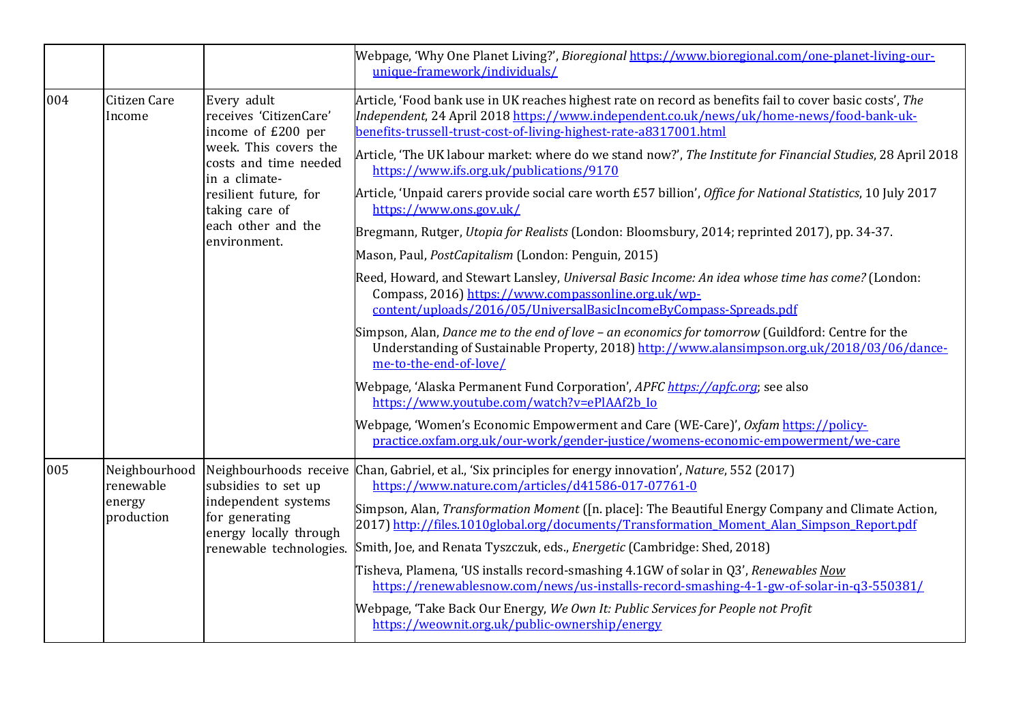|     |                                                    |                                                                                                                                                                                                                 | Webpage, 'Why One Planet Living?', Bioregional https://www.bioregional.com/one-planet-living-our-<br>unique-framework/individuals/                                                                                                                                                                                                                                                                                                                                                                                                                                                                                                                                                                                                                                                                                                                                                                                                                                                                                                                                                                                                                                                                                                                                                                                                                                                                                                                                                                              |
|-----|----------------------------------------------------|-----------------------------------------------------------------------------------------------------------------------------------------------------------------------------------------------------------------|-----------------------------------------------------------------------------------------------------------------------------------------------------------------------------------------------------------------------------------------------------------------------------------------------------------------------------------------------------------------------------------------------------------------------------------------------------------------------------------------------------------------------------------------------------------------------------------------------------------------------------------------------------------------------------------------------------------------------------------------------------------------------------------------------------------------------------------------------------------------------------------------------------------------------------------------------------------------------------------------------------------------------------------------------------------------------------------------------------------------------------------------------------------------------------------------------------------------------------------------------------------------------------------------------------------------------------------------------------------------------------------------------------------------------------------------------------------------------------------------------------------------|
| 004 | Citizen Care<br>Income                             | Every adult<br>receives 'CitizenCare'<br>income of £200 per<br>week. This covers the<br>costs and time needed<br>in a climate-<br>resilient future, for<br>taking care of<br>each other and the<br>environment. | Article, 'Food bank use in UK reaches highest rate on record as benefits fail to cover basic costs', The<br>Independent, 24 April 2018 https://www.independent.co.uk/news/uk/home-news/food-bank-uk-<br>benefits-trussell-trust-cost-of-living-highest-rate-a8317001.html<br>Article, 'The UK labour market: where do we stand now?', The Institute for Financial Studies, 28 April 2018<br>https://www.ifs.org.uk/publications/9170<br>Article, 'Unpaid carers provide social care worth £57 billion', Office for National Statistics, 10 July 2017<br>https://www.ons.gov.uk/<br>Bregmann, Rutger, Utopia for Realists (London: Bloomsbury, 2014; reprinted 2017), pp. 34-37.<br>Mason, Paul, PostCapitalism (London: Penguin, 2015)<br>Reed, Howard, and Stewart Lansley, Universal Basic Income: An idea whose time has come? (London:<br>Compass, 2016) https://www.compassonline.org.uk/wp-<br>content/uploads/2016/05/UniversalBasicIncomeByCompass-Spreads.pdf<br>Simpson, Alan, Dance me to the end of love - an economics for tomorrow (Guildford: Centre for the<br>Understanding of Sustainable Property, 2018) http://www.alansimpson.org.uk/2018/03/06/dance-<br>me-to-the-end-of-love/<br>Webpage, 'Alaska Permanent Fund Corporation', APFC https://apfc.org; see also<br>https://www.youtube.com/watch?v=ePlAAf2b Io<br>Webpage, 'Women's Economic Empowerment and Care (WE-Care)', Oxfam https://policy-<br>practice.oxfam.org.uk/our-work/gender-justice/womens-economic-empowerment/we-care |
| 005 | Neighbourhood<br>renewable<br>energy<br>production | subsidies to set up<br>independent systems<br>for generating<br>energy locally through<br>renewable technologies.                                                                                               | Neighbourhoods receive Chan, Gabriel, et al., 'Six principles for energy innovation', Nature, 552 (2017)<br>https://www.nature.com/articles/d41586-017-07761-0<br>Simpson, Alan, <i>Transformation Moment</i> ([n. place]: The Beautiful Energy Company and Climate Action,<br>2017) http://files.1010global.org/documents/Transformation Moment Alan Simpson Report.pdf<br>Smith, Joe, and Renata Tyszczuk, eds., <i>Energetic</i> (Cambridge: Shed, 2018)<br>Tisheva, Plamena, 'US installs record-smashing 4.1GW of solar in Q3', Renewables Now<br>https://renewablesnow.com/news/us-installs-record-smashing-4-1-gw-of-solar-in-q3-550381/<br>Webpage, 'Take Back Our Energy, We Own It: Public Services for People not Profit<br>https://weownit.org.uk/public-ownership/energy                                                                                                                                                                                                                                                                                                                                                                                                                                                                                                                                                                                                                                                                                                                           |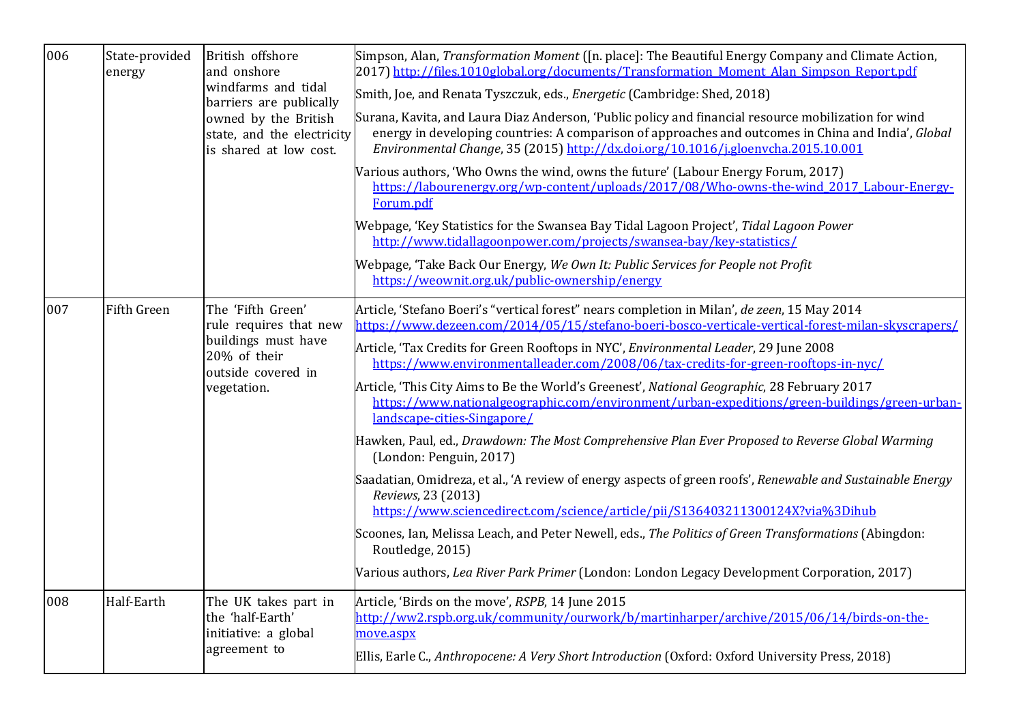| 006 | State-provided<br>energy | British offshore<br>and onshore<br>windfarms and tidal<br>barriers are publically<br>owned by the British<br>state, and the electricity<br>is shared at low cost. | Simpson, Alan, <i>Transformation Moment</i> ([n. place]: The Beautiful Energy Company and Climate Action,<br>2017) http://files.1010global.org/documents/Transformation Moment Alan Simpson Report.pdf<br>Smith, Joe, and Renata Tyszczuk, eds., <i>Energetic</i> (Cambridge: Shed, 2018)<br>Surana, Kavita, and Laura Diaz Anderson, 'Public policy and financial resource mobilization for wind<br>energy in developing countries: A comparison of approaches and outcomes in China and India', Global<br>Environmental Change, 35 (2015) http://dx.doi.org/10.1016/j.gloenvcha.2015.10.001<br>Various authors, 'Who Owns the wind, owns the future' (Labour Energy Forum, 2017)<br>https://labourenergy.org/wp-content/uploads/2017/08/Who-owns-the-wind 2017 Labour-Energy-<br>Forum.pdf<br>Webpage, 'Key Statistics for the Swansea Bay Tidal Lagoon Project', Tidal Lagoon Power<br>http://www.tidallagoonpower.com/projects/swansea-bay/key-statistics/<br>Webpage, 'Take Back Our Energy, We Own It: Public Services for People not Profit<br>https://weownit.org.uk/public-ownership/energy                                                                                              |
|-----|--------------------------|-------------------------------------------------------------------------------------------------------------------------------------------------------------------|---------------------------------------------------------------------------------------------------------------------------------------------------------------------------------------------------------------------------------------------------------------------------------------------------------------------------------------------------------------------------------------------------------------------------------------------------------------------------------------------------------------------------------------------------------------------------------------------------------------------------------------------------------------------------------------------------------------------------------------------------------------------------------------------------------------------------------------------------------------------------------------------------------------------------------------------------------------------------------------------------------------------------------------------------------------------------------------------------------------------------------------------------------------------------------------------------|
| 007 | Fifth Green              | The 'Fifth Green'<br>rule requires that new<br>buildings must have<br>20% of their<br>outside covered in<br>vegetation.                                           | Article, 'Stefano Boeri's "vertical forest" nears completion in Milan', de zeen, 15 May 2014<br>https://www.dezeen.com/2014/05/15/stefano-boeri-bosco-verticale-vertical-forest-milan-skyscrapers/<br>Article, 'Tax Credits for Green Rooftops in NYC', Environmental Leader, 29 June 2008<br>https://www.environmentalleader.com/2008/06/tax-credits-for-green-rooftops-in-nyc/<br>Article, 'This City Aims to Be the World's Greenest', National Geographic, 28 February 2017<br>https://www.nationalgeographic.com/environment/urban-expeditions/green-buildings/green-urban-<br>landscape-cities-Singapore/<br>Hawken, Paul, ed., Drawdown: The Most Comprehensive Plan Ever Proposed to Reverse Global Warming<br>(London: Penguin, 2017)<br>Saadatian, Omidreza, et al., 'A review of energy aspects of green roofs', Renewable and Sustainable Energy<br>Reviews, 23 (2013)<br>https://www.sciencedirect.com/science/article/pii/S136403211300124X?via%3Dihub<br>Scoones, Ian, Melissa Leach, and Peter Newell, eds., The Politics of Green Transformations (Abingdon:<br>Routledge, 2015)<br>Various authors, Lea River Park Primer (London: London Legacy Development Corporation, 2017) |
| 008 | Half-Earth               | The UK takes part in<br>the 'half-Earth'<br>initiative: a global<br>agreement to                                                                                  | Article, 'Birds on the move', RSPB, 14 June 2015<br>http://ww2.rspb.org.uk/community/ourwork/b/martinharper/archive/2015/06/14/birds-on-the-<br>move.aspx<br>Ellis, Earle C., Anthropocene: A Very Short Introduction (Oxford: Oxford University Press, 2018)                                                                                                                                                                                                                                                                                                                                                                                                                                                                                                                                                                                                                                                                                                                                                                                                                                                                                                                                     |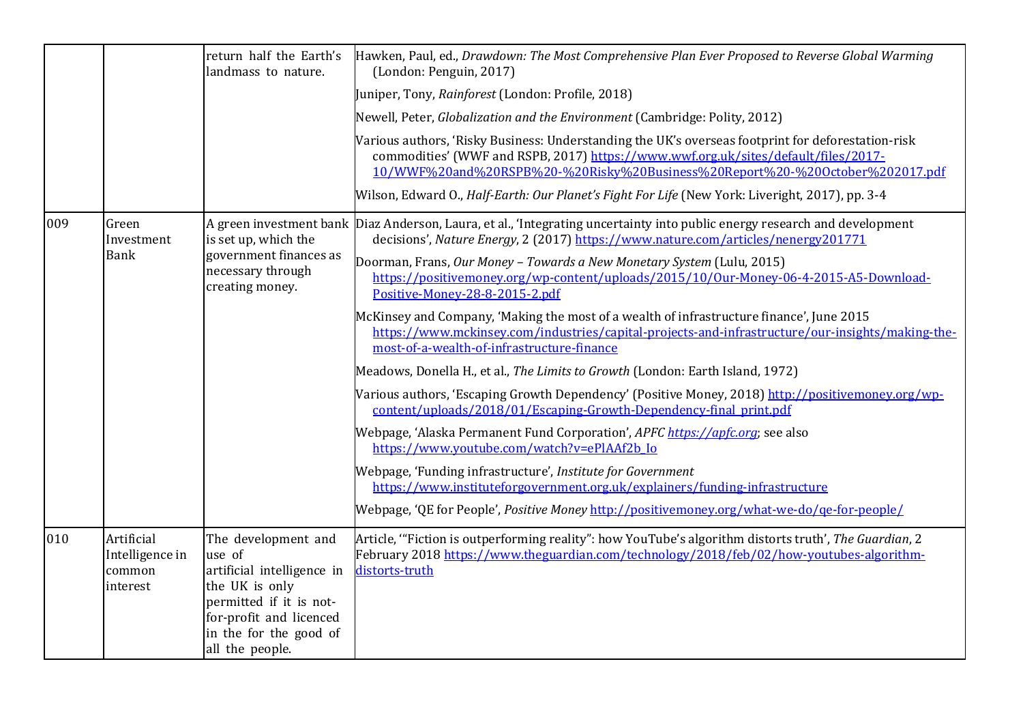|     |                                                     | return half the Earth's<br>landmass to nature.                                                                                                                                   | Hawken, Paul, ed., Drawdown: The Most Comprehensive Plan Ever Proposed to Reverse Global Warming<br>(London: Penguin, 2017)                                                                                                                                              |
|-----|-----------------------------------------------------|----------------------------------------------------------------------------------------------------------------------------------------------------------------------------------|--------------------------------------------------------------------------------------------------------------------------------------------------------------------------------------------------------------------------------------------------------------------------|
|     |                                                     |                                                                                                                                                                                  | Juniper, Tony, Rainforest (London: Profile, 2018)                                                                                                                                                                                                                        |
|     |                                                     |                                                                                                                                                                                  | Newell, Peter, <i>Globalization and the Environment</i> (Cambridge: Polity, 2012)                                                                                                                                                                                        |
|     |                                                     |                                                                                                                                                                                  | Various authors, 'Risky Business: Understanding the UK's overseas footprint for deforestation-risk<br>commodities' (WWF and RSPB, 2017) https://www.wwf.org.uk/sites/default/files/2017-<br>10/WWF%20and%20RSPB%20-%20Risky%20Business%20Report%20-%20October%202017.pdf |
|     |                                                     |                                                                                                                                                                                  | Wilson, Edward O., Half-Earth: Our Planet's Fight For Life (New York: Liveright, 2017), pp. 3-4                                                                                                                                                                          |
| 009 | Green<br>Investment                                 | is set up, which the                                                                                                                                                             | A green investment bank Diaz Anderson, Laura, et al., 'Integrating uncertainty into public energy research and development<br>decisions', Nature Energy, 2 (2017) https://www.nature.com/articles/nenergy201771                                                          |
|     | <b>Bank</b>                                         | government finances as<br>necessary through<br>creating money.                                                                                                                   | Doorman, Frans, Our Money - Towards a New Monetary System (Lulu, 2015)<br>https://positivemoney.org/wp-content/uploads/2015/10/Our-Money-06-4-2015-A5-Download-<br>Positive-Money-28-8-2015-2.pdf                                                                        |
|     |                                                     |                                                                                                                                                                                  | McKinsey and Company, 'Making the most of a wealth of infrastructure finance', June 2015<br>https://www.mckinsey.com/industries/capital-projects-and-infrastructure/our-insights/making-the-<br>most-of-a-wealth-of-infrastructure-finance                               |
|     |                                                     |                                                                                                                                                                                  | Meadows, Donella H., et al., The Limits to Growth (London: Earth Island, 1972)                                                                                                                                                                                           |
|     |                                                     |                                                                                                                                                                                  | Various authors, 'Escaping Growth Dependency' (Positive Money, 2018) http://positivemoney.org/wp-<br>content/uploads/2018/01/Escaping-Growth-Dependency-final print.pdf                                                                                                  |
|     |                                                     |                                                                                                                                                                                  | Webpage, 'Alaska Permanent Fund Corporation', APFC https://apfc.org; see also<br>https://www.youtube.com/watch?v=ePlAAf2b Io                                                                                                                                             |
|     |                                                     |                                                                                                                                                                                  | Webpage, 'Funding infrastructure', Institute for Government<br>https://www.instituteforgovernment.org.uk/explainers/funding-infrastructure                                                                                                                               |
|     |                                                     |                                                                                                                                                                                  | [Webpage, 'QE for People', Positive Money http://positivemoney.org/what-we-do/ge-for-people/                                                                                                                                                                             |
| 010 | Artificial<br>Intelligence in<br>common<br>interest | The development and<br>use of<br>artificial intelligence in<br>the UK is only<br>permitted if it is not-<br>for-profit and licenced<br>in the for the good of<br>all the people. | Article, "Fiction is outperforming reality": how YouTube's algorithm distorts truth', The Guardian, 2<br>February 2018 https://www.theguardian.com/technology/2018/feb/02/how-youtubes-algorithm-<br>distorts-truth                                                      |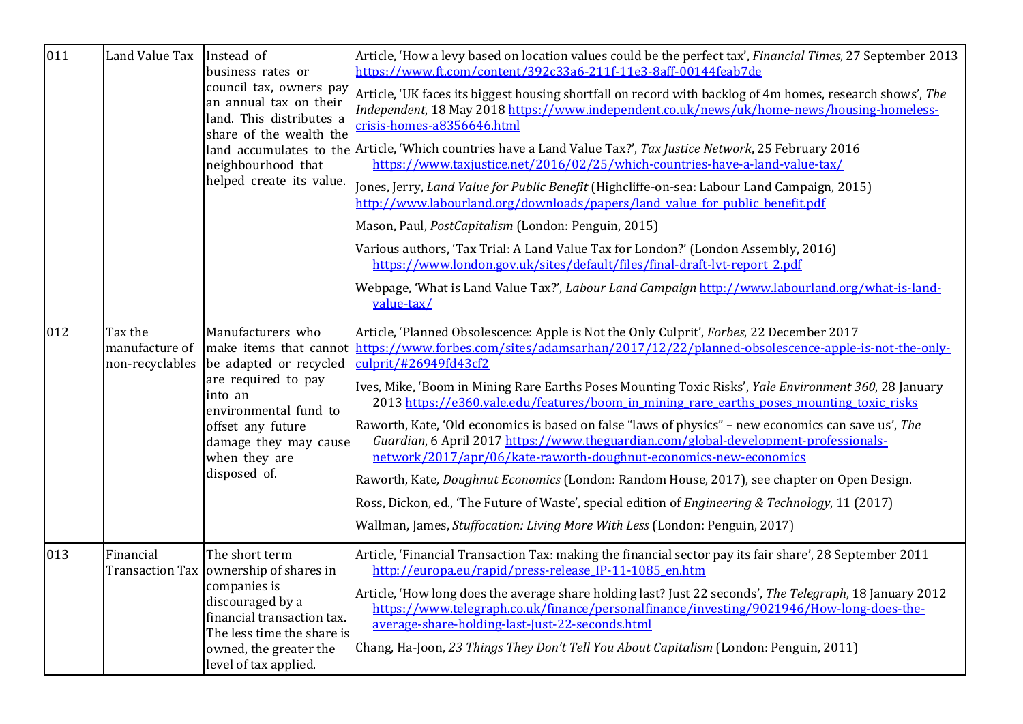| 011 | Land Value Tax               | Instead of<br>business rates or<br>council tax, owners pay<br>an annual tax on their<br>land. This distributes a<br>share of the wealth the<br>neighbourhood that<br>helped create its value.         | Article, 'How a levy based on location values could be the perfect tax', Financial Times, 27 September 2013<br>https://www.ft.com/content/392c33a6-211f-11e3-8aff-00144feab7de<br>Article, 'UK faces its biggest housing shortfall on record with backlog of 4m homes, research shows', The<br>Independent, 18 May 2018 https://www.independent.co.uk/news/uk/home-news/housing-homeless-<br>crisis-homes-a8356646.html<br>land accumulates to the Article, 'Which countries have a Land Value Tax?', Tax Justice Network, 25 February 2016<br>https://www.taxjustice.net/2016/02/25/which-countries-have-a-land-value-tax/<br>Jones, Jerry, Land Value for Public Benefit (Highcliffe-on-sea: Labour Land Campaign, 2015)<br>http://www.labourland.org/downloads/papers/land value for public benefit.pdf<br>Mason, Paul, PostCapitalism (London: Penguin, 2015)<br>Various authors, 'Tax Trial: A Land Value Tax for London?' (London Assembly, 2016)<br>https://www.london.gov.uk/sites/default/files/final-draft-lvt-report 2.pdf<br>Webpage, 'What is Land Value Tax?', Labour Land Campaign http://www.labourland.org/what-is-land-<br>value-tax/ |
|-----|------------------------------|-------------------------------------------------------------------------------------------------------------------------------------------------------------------------------------------------------|---------------------------------------------------------------------------------------------------------------------------------------------------------------------------------------------------------------------------------------------------------------------------------------------------------------------------------------------------------------------------------------------------------------------------------------------------------------------------------------------------------------------------------------------------------------------------------------------------------------------------------------------------------------------------------------------------------------------------------------------------------------------------------------------------------------------------------------------------------------------------------------------------------------------------------------------------------------------------------------------------------------------------------------------------------------------------------------------------------------------------------------------------------|
| 012 | Tax the<br>manufacture of    | Manufacturers who<br>non-recyclables be adapted or recycled<br>are required to pay<br>into an<br>environmental fund to<br>offset any future<br>damage they may cause<br>when they are<br>disposed of. | Article, 'Planned Obsolescence: Apple is Not the Only Culprit', Forbes, 22 December 2017<br>make items that cannot https://www.forbes.com/sites/adamsarhan/2017/12/22/planned-obsolescence-apple-is-not-the-only-<br>culprit/#26949fd43cf2<br>Ives, Mike, 'Boom in Mining Rare Earths Poses Mounting Toxic Risks', Yale Environment 360, 28 January<br>2013 https://e360.yale.edu/features/boom in mining rare earths poses mounting toxic risks<br>Raworth, Kate, 'Old economics is based on false "laws of physics" – new economics can save us', The<br>Guardian, 6 April 2017 https://www.theguardian.com/global-development-professionals-<br>network/2017/apr/06/kate-raworth-doughnut-economics-new-economics<br>Raworth, Kate, Doughnut Economics (London: Random House, 2017), see chapter on Open Design.<br>Ross, Dickon, ed., 'The Future of Waste', special edition of <i>Engineering &amp; Technology</i> , 11 (2017)<br>Wallman, James, Stuffocation: Living More With Less (London: Penguin, 2017)                                                                                                                                      |
| 013 | Financial<br>Transaction Tax | The short term<br>ownership of shares in<br>companies is<br>discouraged by a<br>financial transaction tax.<br>The less time the share is<br>owned, the greater the<br>level of tax applied.           | Article, 'Financial Transaction Tax: making the financial sector pay its fair share', 28 September 2011<br>http://europa.eu/rapid/press-release IP-11-1085 en.htm<br>Article, 'How long does the average share holding last? Just 22 seconds', The Telegraph, 18 January 2012<br>https://www.telegraph.co.uk/finance/personalfinance/investing/9021946/How-long-does-the-<br>average-share-holding-last-Just-22-seconds.html<br>Chang, Ha-Joon, 23 Things They Don't Tell You About Capitalism (London: Penguin, 2011)                                                                                                                                                                                                                                                                                                                                                                                                                                                                                                                                                                                                                                  |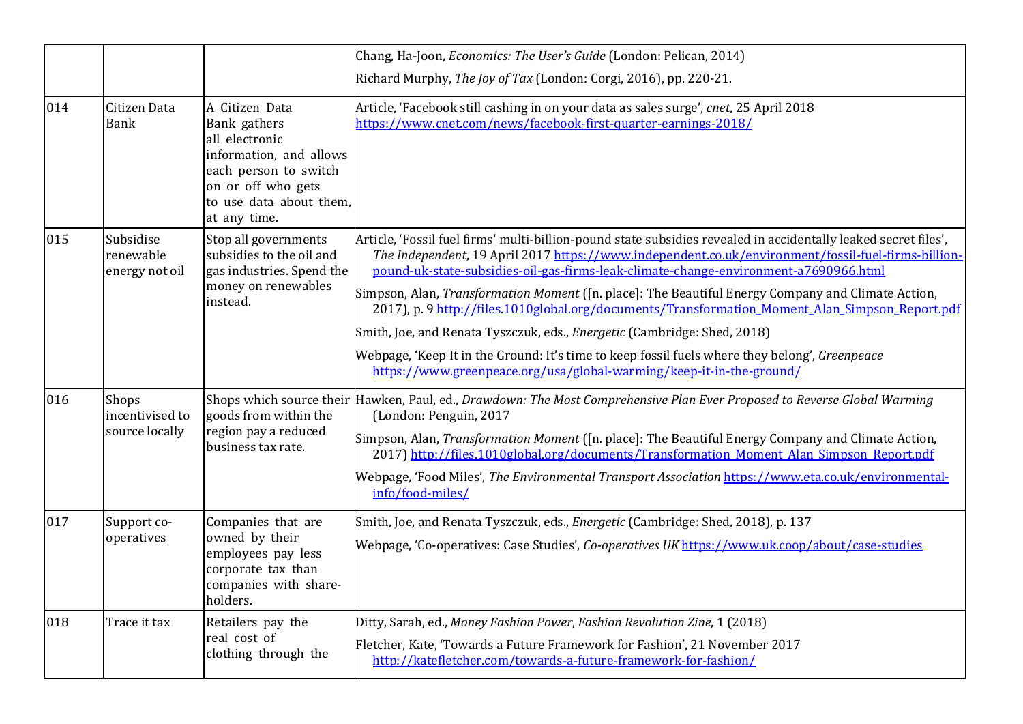|     |                                            |                                                                                                                                                                       | Chang, Ha-Joon, <i>Economics: The User's Guide</i> (London: Pelican, 2014)                                                                                                                                                                                                                                                                                                                                                                                                                                                                                                                                                                                                                                                                                                                  |
|-----|--------------------------------------------|-----------------------------------------------------------------------------------------------------------------------------------------------------------------------|---------------------------------------------------------------------------------------------------------------------------------------------------------------------------------------------------------------------------------------------------------------------------------------------------------------------------------------------------------------------------------------------------------------------------------------------------------------------------------------------------------------------------------------------------------------------------------------------------------------------------------------------------------------------------------------------------------------------------------------------------------------------------------------------|
|     |                                            |                                                                                                                                                                       | Richard Murphy, The Joy of Tax (London: Corgi, 2016), pp. 220-21.                                                                                                                                                                                                                                                                                                                                                                                                                                                                                                                                                                                                                                                                                                                           |
| 014 | Citizen Data<br><b>Bank</b>                | A Citizen Data<br>Bank gathers<br>all electronic<br>information, and allows<br>each person to switch<br>on or off who gets<br>to use data about them,<br>at any time. | Article, 'Facebook still cashing in on your data as sales surge', cnet, 25 April 2018<br>https://www.cnet.com/news/facebook-first-quarter-earnings-2018/                                                                                                                                                                                                                                                                                                                                                                                                                                                                                                                                                                                                                                    |
| 015 | Subsidise<br>renewable<br>energy not oil   | Stop all governments<br>subsidies to the oil and<br>gas industries. Spend the<br>money on renewables<br>instead.                                                      | Article, 'Fossil fuel firms' multi-billion-pound state subsidies revealed in accidentally leaked secret files',<br>The Independent, 19 April 2017 https://www.independent.co.uk/environment/fossil-fuel-firms-billion-<br>pound-uk-state-subsidies-oil-gas-firms-leak-climate-change-environment-a7690966.html<br>Simpson, Alan, <i>Transformation Moment</i> ([n. place]: The Beautiful Energy Company and Climate Action,<br>2017), p. 9 http://files.1010global.org/documents/Transformation Moment Alan Simpson Report.pdf<br>Smith, Joe, and Renata Tyszczuk, eds., <i>Energetic</i> (Cambridge: Shed, 2018)<br>Webpage, 'Keep It in the Ground: It's time to keep fossil fuels where they belong', Greenpeace<br>https://www.greenpeace.org/usa/global-warming/keep-it-in-the-ground/ |
| 016 | Shops<br>incentivised to<br>source locally | goods from within the<br>region pay a reduced<br>business tax rate.                                                                                                   | Shops which source their Hawken, Paul, ed., Drawdown: The Most Comprehensive Plan Ever Proposed to Reverse Global Warming<br>(London: Penguin, 2017<br>Simpson, Alan, <i>Transformation Moment</i> ([n. place]: The Beautiful Energy Company and Climate Action,<br>2017) http://files.1010global.org/documents/Transformation Moment Alan Simpson Report.pdf<br>Webpage, 'Food Miles', The Environmental Transport Association https://www.eta.co.uk/environmental-<br>info/food-miles/                                                                                                                                                                                                                                                                                                    |
| 017 | Support co-<br>operatives                  | Companies that are<br>owned by their<br>employees pay less<br>corporate tax than<br>companies with share-<br>holders.                                                 | Smith, Joe, and Renata Tyszczuk, eds., <i>Energetic</i> (Cambridge: Shed, 2018), p. 137<br>Webpage, 'Co-operatives: Case Studies', <i>Co-operatives UK</i> https://www.uk.coop/about/case-studies                                                                                                                                                                                                                                                                                                                                                                                                                                                                                                                                                                                           |
| 018 | Trace it tax                               | Retailers pay the<br>real cost of<br>clothing through the                                                                                                             | Ditty, Sarah, ed., Money Fashion Power, Fashion Revolution Zine, 1 (2018)<br>Fletcher, Kate, 'Towards a Future Framework for Fashion', 21 November 2017<br>http://katefletcher.com/towards-a-future-framework-for-fashion/                                                                                                                                                                                                                                                                                                                                                                                                                                                                                                                                                                  |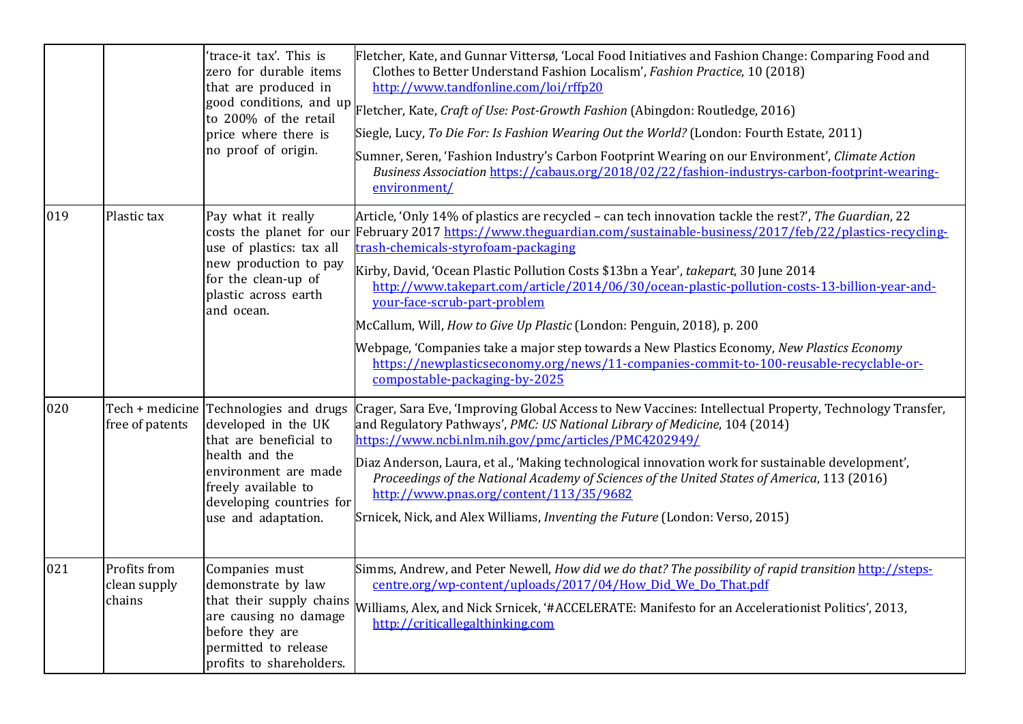|     |                                        | 'trace-it tax'. This is<br>zero for durable items<br>that are produced in<br>price where there is<br>no proof of origin.                                                                                    | Fletcher, Kate, and Gunnar Vittersø, 'Local Food Initiatives and Fashion Change: Comparing Food and<br>Clothes to Better Understand Fashion Localism', Fashion Practice, 10 (2018)<br>http://www.tandfonline.com/loi/rffp20<br>good conditions, and up Fletcher, Kate, Craft of Use: Post-Growth Fashion (Abingdon: Routledge, 2016)<br>Siegle, Lucy, To Die For: Is Fashion Wearing Out the World? (London: Fourth Estate, 2011)<br>Sumner, Seren, 'Fashion Industry's Carbon Footprint Wearing on our Environment', Climate Action<br>Business Association https://cabaus.org/2018/02/22/fashion-industrys-carbon-footprint-wearing-<br>environment/                                                                                                                    |
|-----|----------------------------------------|-------------------------------------------------------------------------------------------------------------------------------------------------------------------------------------------------------------|---------------------------------------------------------------------------------------------------------------------------------------------------------------------------------------------------------------------------------------------------------------------------------------------------------------------------------------------------------------------------------------------------------------------------------------------------------------------------------------------------------------------------------------------------------------------------------------------------------------------------------------------------------------------------------------------------------------------------------------------------------------------------|
| 019 | Plastic tax                            | Pay what it really<br>costs the planet for our<br>use of plastics: tax all<br>new production to pay<br>for the clean-up of<br>plastic across earth<br>and ocean.                                            | Article, 'Only 14% of plastics are recycled – can tech innovation tackle the rest?', The Guardian, 22<br>February 2017 https://www.theguardian.com/sustainable-business/2017/feb/22/plastics-recycling-<br>trash-chemicals-styrofoam-packaging<br>Kirby, David, 'Ocean Plastic Pollution Costs \$13bn a Year', takepart, 30 June 2014<br>http://www.takepart.com/article/2014/06/30/ocean-plastic-pollution-costs-13-billion-year-and-<br>your-face-scrub-part-problem<br>McCallum, Will, How to Give Up Plastic (London: Penguin, 2018), p. 200<br>Webpage, 'Companies take a major step towards a New Plastics Economy, New Plastics Economy<br>https://newplasticseconomy.org/news/11-companies-commit-to-100-reusable-recyclable-or-<br>compostable-packaging-by-2025 |
| 020 | free of patents                        | Tech + medicine Technologies and drugs<br>developed in the UK<br>that are beneficial to<br>health and the<br>environment are made<br>freely available to<br>developing countries for<br>use and adaptation. | Crager, Sara Eve, 'Improving Global Access to New Vaccines: Intellectual Property, Technology Transfer,<br>and Regulatory Pathways', PMC: US National Library of Medicine, 104 (2014)<br>https://www.ncbi.nlm.nih.gov/pmc/articles/PMC4202949/<br>Diaz Anderson, Laura, et al., 'Making technological innovation work for sustainable development',<br>Proceedings of the National Academy of Sciences of the United States of America, 113 (2016)<br>http://www.pnas.org/content/113/35/9682<br>Srnicek, Nick, and Alex Williams, Inventing the Future (London: Verso, 2015)                                                                                                                                                                                             |
| 021 | Profits from<br>clean supply<br>chains | Companies must<br>demonstrate by law<br>that their supply chains<br>are causing no damage<br>before they are<br>permitted to release<br>profits to shareholders.                                            | Simms, Andrew, and Peter Newell, How did we do that? The possibility of rapid transition http://steps-<br>centre.org/wp-content/uploads/2017/04/How Did We Do That.pdf<br>Williams, Alex, and Nick Srnicek, '#ACCELERATE: Manifesto for an Accelerationist Politics', 2013,<br>http://criticallegalthinking.com                                                                                                                                                                                                                                                                                                                                                                                                                                                           |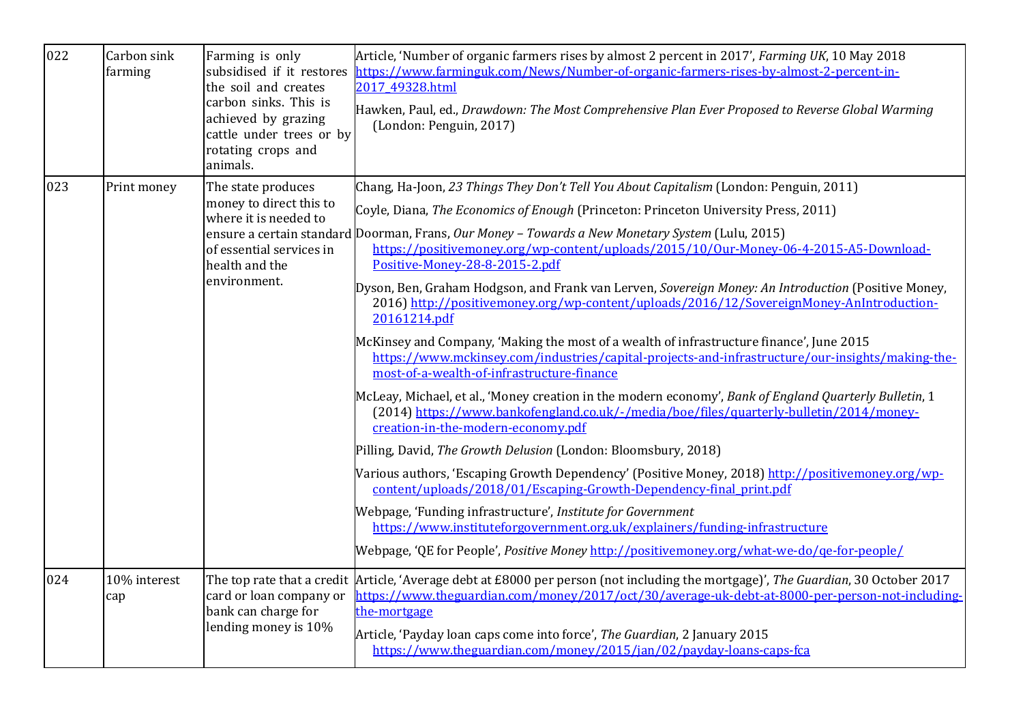| 022 | Carbon sink<br>farming | Farming is only<br>subsidised if it restores<br>the soil and creates<br>carbon sinks. This is<br>achieved by grazing<br>cattle under trees or by<br>rotating crops and<br>animals. | Article, 'Number of organic farmers rises by almost 2 percent in 2017', Farming UK, 10 May 2018<br>https://www.farminguk.com/News/Number-of-organic-farmers-rises-by-almost-2-percent-in-<br>2017 49328.html<br>Hawken, Paul, ed., Drawdown: The Most Comprehensive Plan Ever Proposed to Reverse Global Warming<br>(London: Penguin, 2017)                                                                                                                                                                                                                                                                                                                                                                                                                                                                                                                                                                                                                                                                                                                                                                                                                                                                                                                                                                                                                                                                                                                                                                                                                                                                               |
|-----|------------------------|------------------------------------------------------------------------------------------------------------------------------------------------------------------------------------|---------------------------------------------------------------------------------------------------------------------------------------------------------------------------------------------------------------------------------------------------------------------------------------------------------------------------------------------------------------------------------------------------------------------------------------------------------------------------------------------------------------------------------------------------------------------------------------------------------------------------------------------------------------------------------------------------------------------------------------------------------------------------------------------------------------------------------------------------------------------------------------------------------------------------------------------------------------------------------------------------------------------------------------------------------------------------------------------------------------------------------------------------------------------------------------------------------------------------------------------------------------------------------------------------------------------------------------------------------------------------------------------------------------------------------------------------------------------------------------------------------------------------------------------------------------------------------------------------------------------------|
| 023 | Print money            | The state produces<br>money to direct this to<br>where it is needed to<br>of essential services in<br>health and the<br>environment.                                               | Chang, Ha-Joon, 23 Things They Don't Tell You About Capitalism (London: Penguin, 2011)<br>Coyle, Diana, The Economics of Enough (Princeton: Princeton University Press, 2011)<br>ensure a certain standard Doorman, Frans, Our Money - Towards a New Monetary System (Lulu, 2015)<br>https://positivemoney.org/wp-content/uploads/2015/10/Our-Money-06-4-2015-A5-Download-<br>Positive-Money-28-8-2015-2.pdf<br>Dyson, Ben, Graham Hodgson, and Frank van Lerven, Sovereign Money: An Introduction (Positive Money,<br>2016) http://positivemoney.org/wp-content/uploads/2016/12/SovereignMoney-AnIntroduction-<br>20161214.pdf<br>McKinsey and Company, 'Making the most of a wealth of infrastructure finance', June 2015<br>https://www.mckinsey.com/industries/capital-projects-and-infrastructure/our-insights/making-the-<br>most-of-a-wealth-of-infrastructure-finance<br>McLeay, Michael, et al., 'Money creation in the modern economy', Bank of England Quarterly Bulletin, 1<br>(2014) https://www.bankofengland.co.uk/-/media/boe/files/quarterly-bulletin/2014/money-<br>creation-in-the-modern-economy.pdf<br>Pilling, David, The Growth Delusion (London: Bloomsbury, 2018)<br>Various authors, 'Escaping Growth Dependency' (Positive Money, 2018) http://positivemoney.org/wp-<br>content/uploads/2018/01/Escaping-Growth-Dependency-final print.pdf<br>Webpage, 'Funding infrastructure', Institute for Government<br>https://www.instituteforgovernment.org.uk/explainers/funding-infrastructure<br>Webpage, 'QE for People', <i>Positive Money</i> http://positivemoney.org/what-we-do/qe-for-people/ |
| 024 | 10% interest<br>cap    | card or loan company or<br>bank can charge for<br>lending money is 10%                                                                                                             | The top rate that a credit Article, 'Average debt at £8000 per person (not including the mortgage)', The Guardian, 30 October 2017<br>https://www.theguardian.com/money/2017/oct/30/average-uk-debt-at-8000-per-person-not-including-<br>the-mortgage<br>Article, 'Payday loan caps come into force', The Guardian, 2 January 2015<br>https://www.theguardian.com/money/2015/jan/02/payday-loans-caps-fca                                                                                                                                                                                                                                                                                                                                                                                                                                                                                                                                                                                                                                                                                                                                                                                                                                                                                                                                                                                                                                                                                                                                                                                                                 |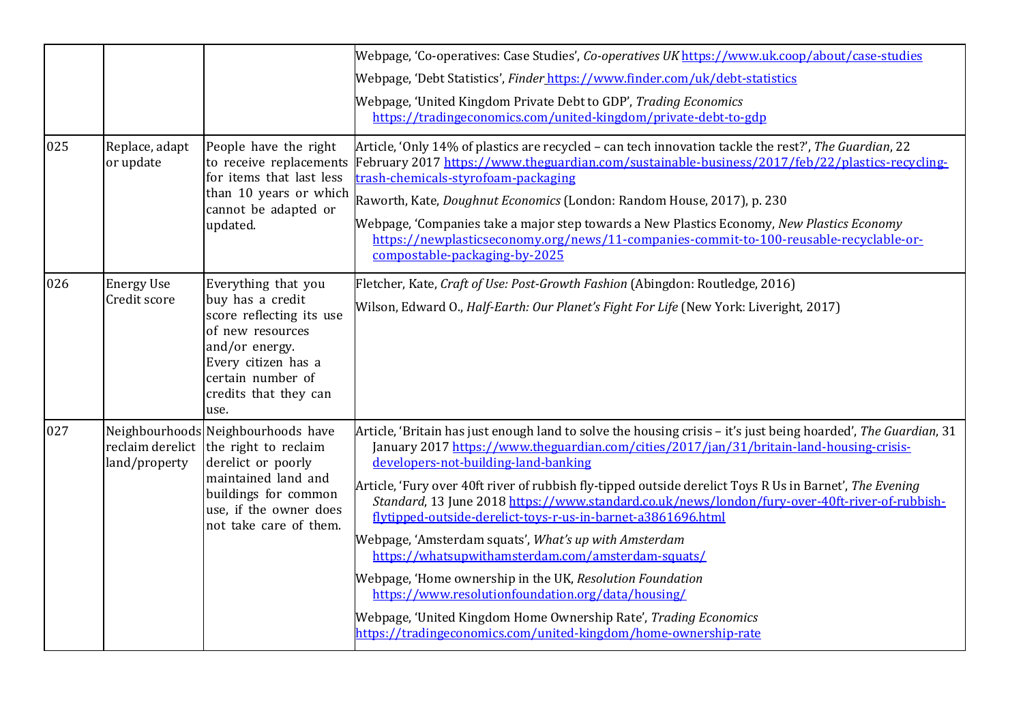| 025 | Replace, adapt<br>or update       | People have the right<br>for items that last less<br>than 10 years or which<br>cannot be adapted or<br>updated.                                                                                      | Webpage, 'Co-operatives: Case Studies', Co-operatives UK https://www.uk.coop/about/case-studies<br>Webpage, 'Debt Statistics', Finder https://www.finder.com/uk/debt-statistics<br>Webpage, 'United Kingdom Private Debt to GDP', Trading Economics<br>https://tradingeconomics.com/united-kingdom/private-debt-to-gdp<br>Article, 'Only 14% of plastics are recycled - can tech innovation tackle the rest?', The Guardian, 22<br>to receive replacements February 2017 https://www.theguardian.com/sustainable-business/2017/feb/22/plastics-recycling-<br>trash-chemicals-styrofoam-packaging<br>Raworth, Kate, Doughnut Economics (London: Random House, 2017), p. 230<br>Webpage, 'Companies take a major step towards a New Plastics Economy, New Plastics Economy<br>https://newplasticseconomy.org/news/11-companies-commit-to-100-reusable-recyclable-or-                                        |
|-----|-----------------------------------|------------------------------------------------------------------------------------------------------------------------------------------------------------------------------------------------------|-----------------------------------------------------------------------------------------------------------------------------------------------------------------------------------------------------------------------------------------------------------------------------------------------------------------------------------------------------------------------------------------------------------------------------------------------------------------------------------------------------------------------------------------------------------------------------------------------------------------------------------------------------------------------------------------------------------------------------------------------------------------------------------------------------------------------------------------------------------------------------------------------------------|
| 026 | <b>Energy Use</b><br>Credit score | Everything that you<br>buy has a credit<br>score reflecting its use<br>of new resources<br>and/or energy.<br>Every citizen has a<br>certain number of<br>credits that they can<br>use.               | compostable-packaging-by-2025<br>Fletcher, Kate, Craft of Use: Post-Growth Fashion (Abingdon: Routledge, 2016)<br>Wilson, Edward O., Half-Earth: Our Planet's Fight For Life (New York: Liveright, 2017)                                                                                                                                                                                                                                                                                                                                                                                                                                                                                                                                                                                                                                                                                                  |
| 027 | land/property                     | Neighbourhoods Neighbourhoods have<br>reclaim derelict the right to reclaim<br>derelict or poorly<br>maintained land and<br>buildings for common<br>use, if the owner does<br>not take care of them. | Article, 'Britain has just enough land to solve the housing crisis - it's just being hoarded', The Guardian, 31<br>January 2017 https://www.theguardian.com/cities/2017/jan/31/britain-land-housing-crisis-<br>developers-not-building-land-banking<br>Article, 'Fury over 40ft river of rubbish fly-tipped outside derelict Toys R Us in Barnet', The Evening<br>Standard, 13 June 2018 https://www.standard.co.uk/news/london/fury-over-40ft-river-of-rubbish-<br>flytipped-outside-derelict-toys-r-us-in-barnet-a3861696.html<br>Webpage, 'Amsterdam squats', What's up with Amsterdam<br>https://whatsupwithamsterdam.com/amsterdam-squats/<br>Webpage, 'Home ownership in the UK, Resolution Foundation<br>https://www.resolutionfoundation.org/data/housing/<br>Webpage, 'United Kingdom Home Ownership Rate', Trading Economics<br>https://tradingeconomics.com/united-kingdom/home-ownership-rate |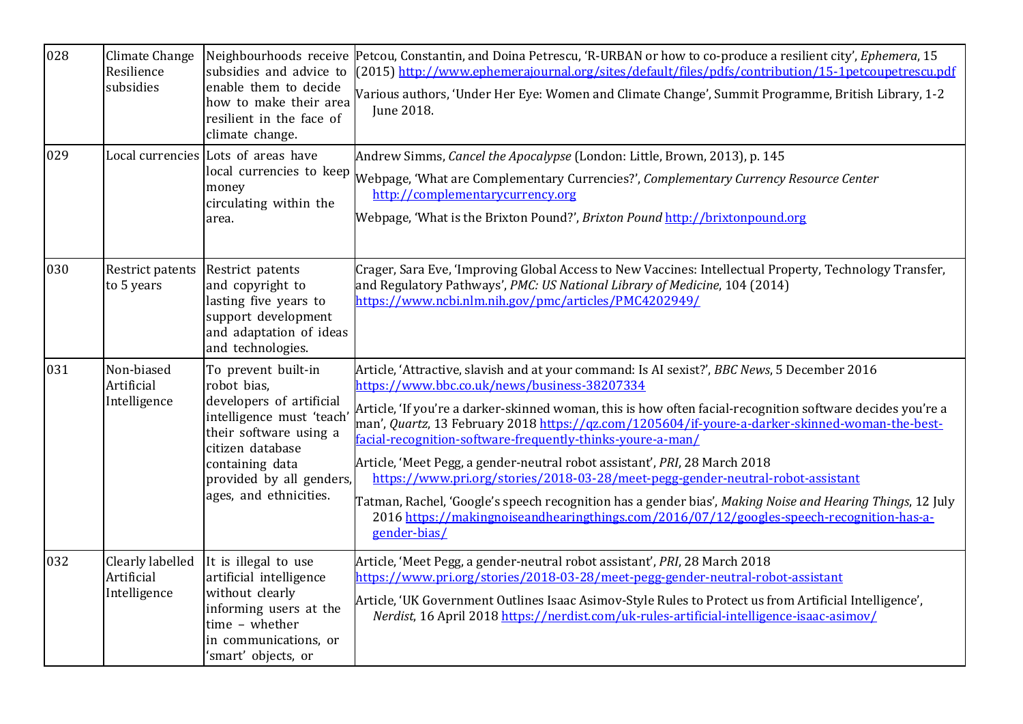| 028 | Climate Change<br>Resilience<br>subsidies      | subsidies and advice to<br>enable them to decide<br>how to make their area<br>resilient in the face of<br>climate change.                                                                                          | Neighbourhoods receive Petcou, Constantin, and Doina Petrescu, 'R-URBAN or how to co-produce a resilient city', Ephemera, 15<br>(2015) http://www.ephemerajournal.org/sites/default/files/pdfs/contribution/15-1petcoupetrescu.pdf<br>Various authors, 'Under Her Eye: Women and Climate Change', Summit Programme, British Library, 1-2<br>June 2018.                                                                                                                                                                                                                                                                                                                                                                                                                                                                 |
|-----|------------------------------------------------|--------------------------------------------------------------------------------------------------------------------------------------------------------------------------------------------------------------------|------------------------------------------------------------------------------------------------------------------------------------------------------------------------------------------------------------------------------------------------------------------------------------------------------------------------------------------------------------------------------------------------------------------------------------------------------------------------------------------------------------------------------------------------------------------------------------------------------------------------------------------------------------------------------------------------------------------------------------------------------------------------------------------------------------------------|
| 029 |                                                | Local currencies Lots of areas have<br>local currencies to keep<br>money<br>circulating within the<br>area.                                                                                                        | Andrew Simms, Cancel the Apocalypse (London: Little, Brown, 2013), p. 145<br>Webpage, 'What are Complementary Currencies?', Complementary Currency Resource Center<br>http://complementarycurrency.org<br>Webpage, 'What is the Brixton Pound?', Brixton Pound http://brixtonpound.org                                                                                                                                                                                                                                                                                                                                                                                                                                                                                                                                 |
| 030 | Restrict patents<br>to 5 years                 | Restrict patents<br>and copyright to<br>lasting five years to<br>support development<br>and adaptation of ideas<br>and technologies.                                                                               | Crager, Sara Eve, 'Improving Global Access to New Vaccines: Intellectual Property, Technology Transfer,<br>and Regulatory Pathways', PMC: US National Library of Medicine, 104 (2014)<br><u> https://www.ncbi.nlm.nih.gov/pmc/articles/PMC4202949/</u>                                                                                                                                                                                                                                                                                                                                                                                                                                                                                                                                                                 |
| 031 | Non-biased<br>Artificial<br>Intelligence       | To prevent built-in<br>robot bias,<br>developers of artificial<br>intelligence must 'teach'<br>their software using a<br>citizen database<br>containing data<br>provided by all genders,<br>ages, and ethnicities. | Article, 'Attractive, slavish and at your command: Is AI sexist?', BBC News, 5 December 2016<br>https://www.bbc.co.uk/news/business-38207334<br>Article, 'If you're a darker-skinned woman, this is how often facial-recognition software decides you're a<br>man', Quartz, 13 February 2018 https://qz.com/1205604/if-youre-a-darker-skinned-woman-the-best-<br>facial-recognition-software-frequently-thinks-youre-a-man/<br>Article, 'Meet Pegg, a gender-neutral robot assistant', PRI, 28 March 2018<br>https://www.pri.org/stories/2018-03-28/meet-pegg-gender-neutral-robot-assistant<br>Tatman, Rachel, 'Google's speech recognition has a gender bias', Making Noise and Hearing Things, 12 July<br>2016 https://makingnoiseandhearingthings.com/2016/07/12/googles-speech-recognition-has-a-<br>gender-bias/ |
| 032 | Clearly labelled<br>Artificial<br>Intelligence | It is illegal to use<br>artificial intelligence<br>without clearly<br>informing users at the<br>time - whether<br>in communications, or<br>'smart' objects, or                                                     | Article, 'Meet Pegg, a gender-neutral robot assistant', PRI, 28 March 2018<br>https://www.pri.org/stories/2018-03-28/meet-pegg-gender-neutral-robot-assistant<br>Article, 'UK Government Outlines Isaac Asimov-Style Rules to Protect us from Artificial Intelligence',<br>Nerdist, 16 April 2018 https://nerdist.com/uk-rules-artificial-intelligence-isaac-asimov/                                                                                                                                                                                                                                                                                                                                                                                                                                                   |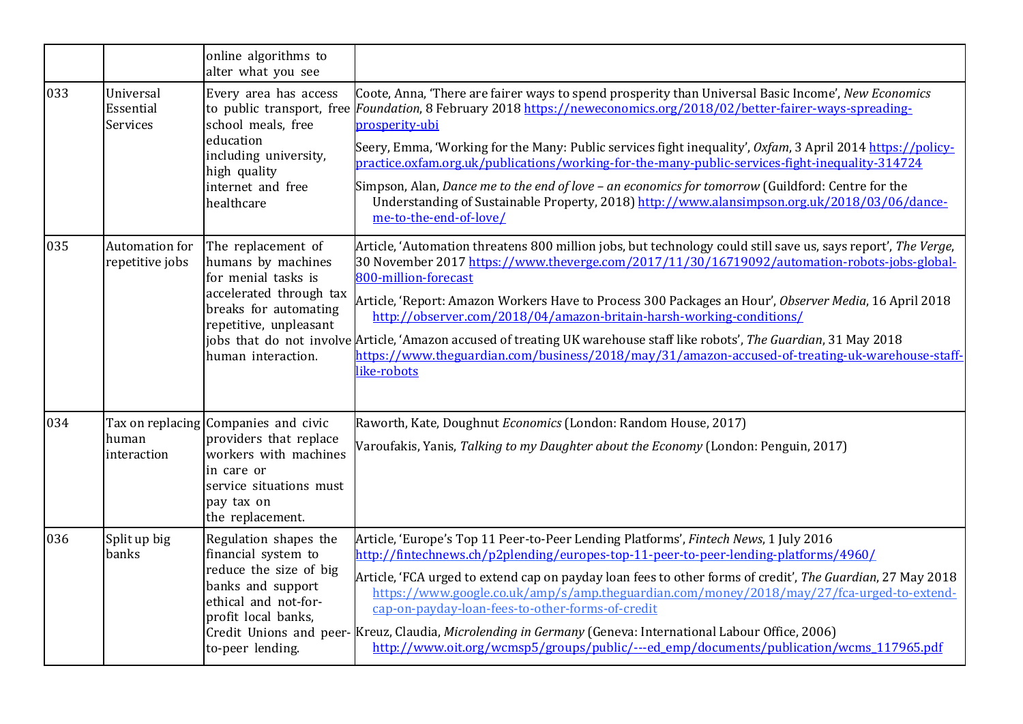|     |                                          | online algorithms to<br>alter what you see                                                                                                                          |                                                                                                                                                                                                                                                                                                                                                                                                                                                                                                                                                                                                                                                                                               |
|-----|------------------------------------------|---------------------------------------------------------------------------------------------------------------------------------------------------------------------|-----------------------------------------------------------------------------------------------------------------------------------------------------------------------------------------------------------------------------------------------------------------------------------------------------------------------------------------------------------------------------------------------------------------------------------------------------------------------------------------------------------------------------------------------------------------------------------------------------------------------------------------------------------------------------------------------|
| 033 | Universal<br>Essential<br>Services       | Every area has access<br>school meals, free<br>education<br>including university,<br>high quality<br>internet and free<br>healthcare                                | Coote, Anna, 'There are fairer ways to spend prosperity than Universal Basic Income', New Economics<br>to public transport, free Foundation, 8 February 2018 https://neweconomics.org/2018/02/better-fairer-ways-spreading-<br>prosperity-ubi<br>Seery, Emma, 'Working for the Many: Public services fight inequality', Oxfam, 3 April 2014 https://policy-<br>practice.oxfam.org.uk/publications/working-for-the-many-public-services-fight-inequality-314724<br>Simpson, Alan, Dance me to the end of love - an economics for tomorrow (Guildford: Centre for the<br>Understanding of Sustainable Property, 2018) http://www.alansimpson.org.uk/2018/03/06/dance-<br>me-to-the-end-of-love/ |
| 035 | <b>Automation for</b><br>repetitive jobs | The replacement of<br>humans by machines<br>for menial tasks is<br>accelerated through tax<br>breaks for automating<br>repetitive, unpleasant<br>human interaction. | Article, 'Automation threatens 800 million jobs, but technology could still save us, says report', The Verge,<br>30 November 2017 https://www.theverge.com/2017/11/30/16719092/automation-robots-jobs-global-<br>800-million-forecast<br>Article, 'Report: Amazon Workers Have to Process 300 Packages an Hour', Observer Media, 16 April 2018<br>http://observer.com/2018/04/amazon-britain-harsh-working-conditions/<br>jobs that do not involve Article, 'Amazon accused of treating UK warehouse staff like robots', The Guardian, 31 May 2018<br>https://www.theguardian.com/business/2018/may/31/amazon-accused-of-treating-uk-warehouse-staff-<br>like-robots                          |
| 034 | human<br>interaction                     | Tax on replacing Companies and civic<br>providers that replace<br>workers with machines<br>in care or<br>service situations must<br>pay tax on<br>the replacement.  | Raworth, Kate, Doughnut Economics (London: Random House, 2017)<br>Varoufakis, Yanis, Talking to my Daughter about the Economy (London: Penguin, 2017)                                                                                                                                                                                                                                                                                                                                                                                                                                                                                                                                         |
| 036 | Split up big<br>banks                    | Regulation shapes the<br>financial system to<br>reduce the size of big<br>banks and support<br>ethical and not-for-<br>profit local banks,<br>to-peer lending.      | Article, 'Europe's Top 11 Peer-to-Peer Lending Platforms', Fintech News, 1 July 2016<br>http://fintechnews.ch/p2plending/europes-top-11-peer-to-peer-lending-platforms/4960/<br>Article, 'FCA urged to extend cap on payday loan fees to other forms of credit', The Guardian, 27 May 2018<br>https://www.google.co.uk/amp/s/amp.theguardian.com/money/2018/may/27/fca-urged-to-extend-<br>cap-on-payday-loan-fees-to-other-forms-of-credit<br>Credit Unions and peer- Kreuz, Claudia, Microlending in Germany (Geneva: International Labour Office, 2006)<br>http://www.oit.org/wcmsp5/groups/public/---ed_emp/documents/publication/wcms_117965.pdf                                         |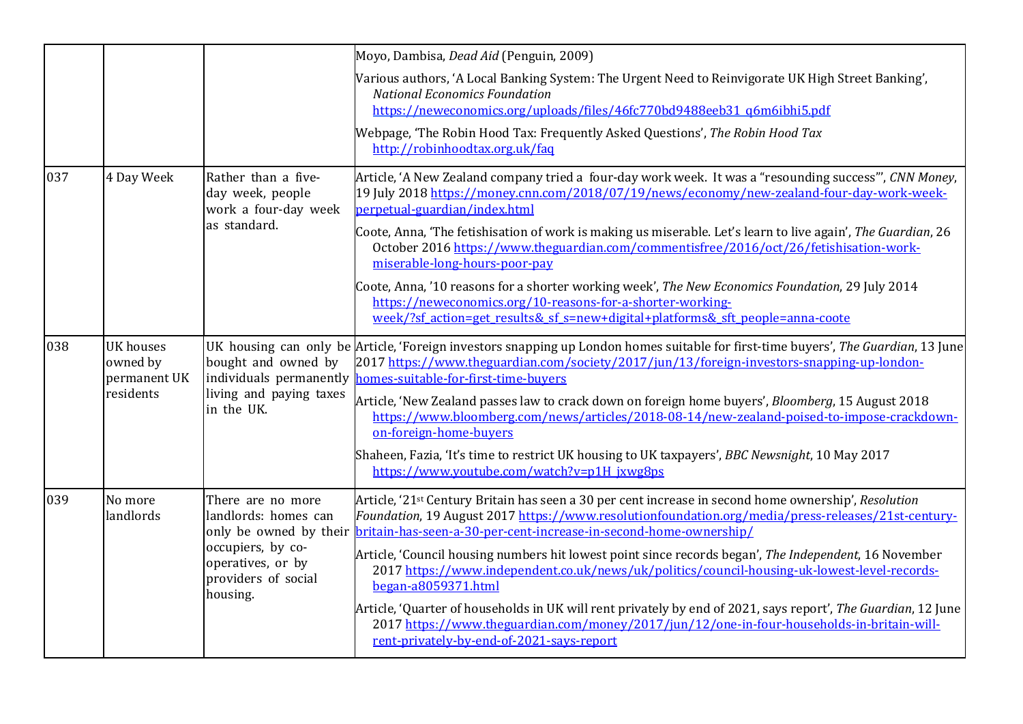|     |                                                           |                                                                                 | Moyo, Dambisa, Dead Aid (Penguin, 2009)                                                                                                                                                                                                                                                                                                                                                                                                                                                                                                                                                                                                |
|-----|-----------------------------------------------------------|---------------------------------------------------------------------------------|----------------------------------------------------------------------------------------------------------------------------------------------------------------------------------------------------------------------------------------------------------------------------------------------------------------------------------------------------------------------------------------------------------------------------------------------------------------------------------------------------------------------------------------------------------------------------------------------------------------------------------------|
|     |                                                           |                                                                                 | Various authors, 'A Local Banking System: The Urgent Need to Reinvigorate UK High Street Banking',<br><b>National Economics Foundation</b><br>https://neweconomics.org/uploads/files/46fc770bd9488eeb31_q6m6ibhi5.pdf                                                                                                                                                                                                                                                                                                                                                                                                                  |
|     |                                                           |                                                                                 | Webpage, 'The Robin Hood Tax: Frequently Asked Questions', The Robin Hood Tax<br>http://robinhoodtax.org.uk/faq                                                                                                                                                                                                                                                                                                                                                                                                                                                                                                                        |
| 037 | 4 Day Week                                                | Rather than a five-<br>day week, people<br>work a four-day week<br>as standard. | Article, 'A New Zealand company tried a four-day work week. It was a "resounding success"', CNN Money,<br>19 July 2018 https://money.cnn.com/2018/07/19/news/economy/new-zealand-four-day-work-week-<br>perpetual-guardian/index.html<br>Coote, Anna, 'The fetishisation of work is making us miserable. Let's learn to live again', The Guardian, 26<br>October 2016 https://www.theguardian.com/commentisfree/2016/oct/26/fetishisation-work-                                                                                                                                                                                        |
|     |                                                           |                                                                                 | miserable-long-hours-poor-pay<br>Coote, Anna, '10 reasons for a shorter working week', The New Economics Foundation, 29 July 2014<br>https://neweconomics.org/10-reasons-for-a-shorter-working-<br>week/?sf action=get results& sf s=new+digital+platforms& sft people=anna-coote                                                                                                                                                                                                                                                                                                                                                      |
| 038 | <b>UK</b> houses<br>owned by<br>permanent UK<br>residents | bought and owned by<br>living and paying taxes<br>in the UK.                    | UK housing can only be Article, 'Foreign investors snapping up London homes suitable for first-time buyers', The Guardian, 13 June<br>2017 https://www.theguardian.com/society/2017/jun/13/foreign-investors-snapping-up-london-<br>individuals permanently <b>homes-suitable-for-first-time-buyers</b><br>Article, 'New Zealand passes law to crack down on foreign home buyers', Bloomberg, 15 August 2018<br>https://www.bloomberg.com/news/articles/2018-08-14/new-zealand-poised-to-impose-crackdown-<br>on-foreign-home-buyers<br>Shaheen, Fazia, 'It's time to restrict UK housing to UK taxpayers', BBC Newsnight, 10 May 2017 |
|     |                                                           |                                                                                 | https://www.youtube.com/watch?v=p1H jxwg8ps                                                                                                                                                                                                                                                                                                                                                                                                                                                                                                                                                                                            |
| 039 | No more<br>landlords                                      | There are no more<br>landlords: homes can                                       | Article, '21 <sup>st</sup> Century Britain has seen a 30 per cent increase in second home ownership', Resolution<br>Foundation, 19 August 2017 https://www.resolutionfoundation.org/media/press-releases/21st-century-<br>only be owned by their <b>britain-has-seen-a-30-per-cent-increase-in-second-home-ownership/</b>                                                                                                                                                                                                                                                                                                              |
|     |                                                           | occupiers, by co-<br>operatives, or by<br>providers of social<br>housing.       | Article, 'Council housing numbers hit lowest point since records began', The Independent, 16 November<br>2017 https://www.independent.co.uk/news/uk/politics/council-housing-uk-lowest-level-records-<br>began-a8059371.html                                                                                                                                                                                                                                                                                                                                                                                                           |
|     |                                                           |                                                                                 | Article, 'Quarter of households in UK will rent privately by end of 2021, says report', The Guardian, 12 June<br>2017 https://www.theguardian.com/money/2017/jun/12/one-in-four-households-in-britain-will-<br>rent-privately-by-end-of-2021-says-report                                                                                                                                                                                                                                                                                                                                                                               |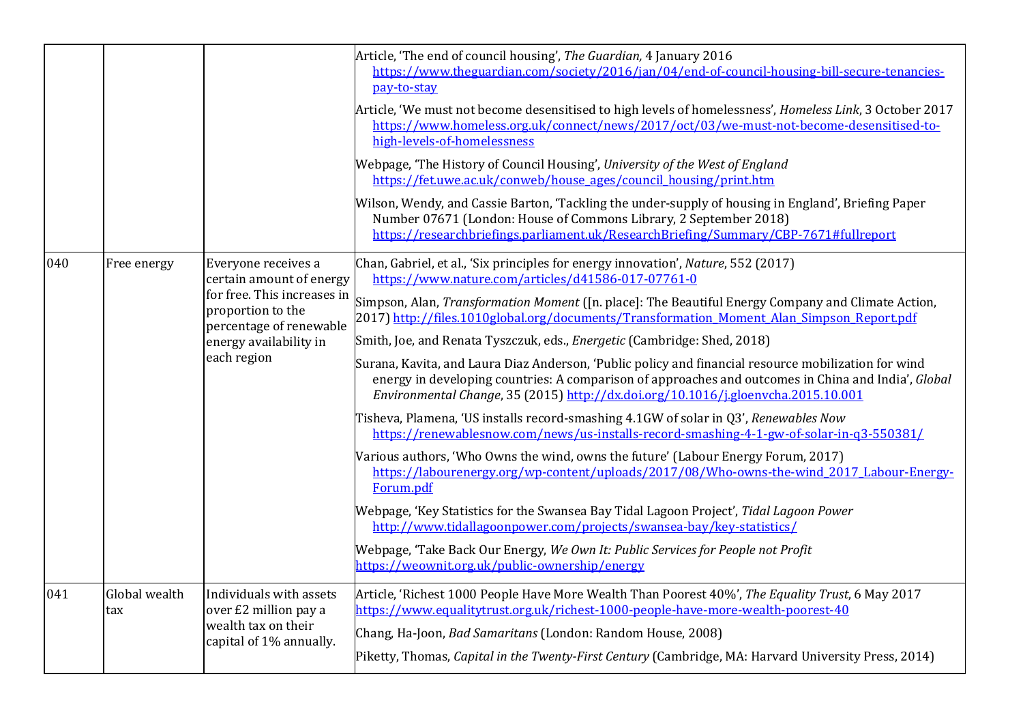|     |                      |                                                                                                                                                                         | Article, 'The end of council housing', The Guardian, 4 January 2016<br>https://www.theguardian.com/society/2016/jan/04/end-of-council-housing-bill-secure-tenancies-<br>pay-to-stay<br>Article, 'We must not become desensitised to high levels of homelessness', Homeless Link, 3 October 2017<br>https://www.homeless.org.uk/connect/news/2017/oct/03/we-must-not-become-desensitised-to-<br>high-levels-of-homelessness<br>Webpage, 'The History of Council Housing', University of the West of England<br>https://fet.uwe.ac.uk/conweb/house_ages/council_housing/print.htm<br>Wilson, Wendy, and Cassie Barton, 'Tackling the under-supply of housing in England', Briefing Paper<br>Number 07671 (London: House of Commons Library, 2 September 2018)<br>https://researchbriefings.parliament.uk/ResearchBriefing/Summary/CBP-7671#fullreport                                                                                                                                                                                                                                                                                                                                                                                                                                                                                                                                                                                 |
|-----|----------------------|-------------------------------------------------------------------------------------------------------------------------------------------------------------------------|-------------------------------------------------------------------------------------------------------------------------------------------------------------------------------------------------------------------------------------------------------------------------------------------------------------------------------------------------------------------------------------------------------------------------------------------------------------------------------------------------------------------------------------------------------------------------------------------------------------------------------------------------------------------------------------------------------------------------------------------------------------------------------------------------------------------------------------------------------------------------------------------------------------------------------------------------------------------------------------------------------------------------------------------------------------------------------------------------------------------------------------------------------------------------------------------------------------------------------------------------------------------------------------------------------------------------------------------------------------------------------------------------------------------------------------|
| 040 | Free energy          | Everyone receives a<br>certain amount of energy<br>for free. This increases in<br>proportion to the<br>percentage of renewable<br>energy availability in<br>each region | Chan, Gabriel, et al., 'Six principles for energy innovation', Nature, 552 (2017)<br>https://www.nature.com/articles/d41586-017-07761-0<br>Simpson, Alan, <i>Transformation Moment</i> ([n. place]: The Beautiful Energy Company and Climate Action,<br>2017) http://files.1010global.org/documents/Transformation Moment Alan Simpson Report.pdf<br>Smith, Joe, and Renata Tyszczuk, eds., <i>Energetic</i> (Cambridge: Shed, 2018)<br>Surana, Kavita, and Laura Diaz Anderson, 'Public policy and financial resource mobilization for wind<br>energy in developing countries: A comparison of approaches and outcomes in China and India', Global<br>Environmental Change, 35 (2015) http://dx.doi.org/10.1016/j.gloenvcha.2015.10.001<br>Tisheva, Plamena, 'US installs record-smashing 4.1GW of solar in Q3', Renewables Now<br>https://renewablesnow.com/news/us-installs-record-smashing-4-1-gw-of-solar-in-q3-550381/<br>Various authors, 'Who Owns the wind, owns the future' (Labour Energy Forum, 2017)<br>https://labourenergy.org/wp-content/uploads/2017/08/Who-owns-the-wind 2017 Labour-Energy-<br>Forum.pdf<br>Webpage, 'Key Statistics for the Swansea Bay Tidal Lagoon Project', Tidal Lagoon Power<br>http://www.tidallagoonpower.com/projects/swansea-bay/key-statistics/<br>Webpage, 'Take Back Our Energy, We Own It: Public Services for People not Profit<br>https://weownit.org.uk/public-ownership/energy |
| 041 | Global wealth<br>tax | Individuals with assets<br>over £2 million pay a<br>wealth tax on their<br>capital of 1% annually.                                                                      | Article, 'Richest 1000 People Have More Wealth Than Poorest 40%', The Equality Trust, 6 May 2017<br>https://www.equalitytrust.org.uk/richest-1000-people-have-more-wealth-poorest-40<br>Chang, Ha-Joon, Bad Samaritans (London: Random House, 2008)<br>Piketty, Thomas, Capital in the Twenty-First Century (Cambridge, MA: Harvard University Press, 2014)                                                                                                                                                                                                                                                                                                                                                                                                                                                                                                                                                                                                                                                                                                                                                                                                                                                                                                                                                                                                                                                                         |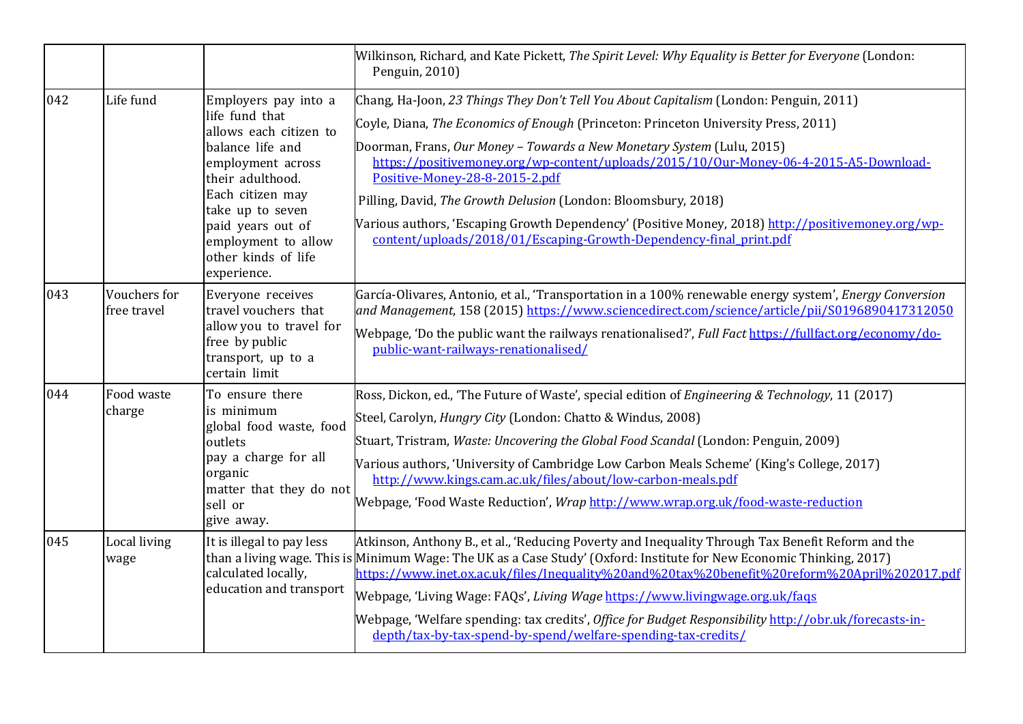|     |                             |                                                                                                                                                                                                                                                         | Wilkinson, Richard, and Kate Pickett, The Spirit Level: Why Equality is Better for Everyone (London:<br>Penguin, 2010)                                                                                                                                                                                                                                                                                                                                                                                                                                                                                                          |
|-----|-----------------------------|---------------------------------------------------------------------------------------------------------------------------------------------------------------------------------------------------------------------------------------------------------|---------------------------------------------------------------------------------------------------------------------------------------------------------------------------------------------------------------------------------------------------------------------------------------------------------------------------------------------------------------------------------------------------------------------------------------------------------------------------------------------------------------------------------------------------------------------------------------------------------------------------------|
| 042 | Life fund                   | Employers pay into a<br>life fund that<br>allows each citizen to<br>balance life and<br>employment across<br>their adulthood.<br>Each citizen may<br>take up to seven<br>paid years out of<br>employment to allow<br>other kinds of life<br>experience. | Chang, Ha-Joon, 23 Things They Don't Tell You About Capitalism (London: Penguin, 2011)<br>Coyle, Diana, The Economics of Enough (Princeton: Princeton University Press, 2011)<br>Doorman, Frans, Our Money - Towards a New Monetary System (Lulu, 2015)<br>https://positivemoney.org/wp-content/uploads/2015/10/0ur-Money-06-4-2015-A5-Download-<br>Positive-Money-28-8-2015-2.pdf<br>Pilling, David, The Growth Delusion (London: Bloomsbury, 2018)<br>Various authors, 'Escaping Growth Dependency' (Positive Money, 2018) http://positivemoney.org/wp-<br>content/uploads/2018/01/Escaping-Growth-Dependency-final print.pdf |
| 043 | Vouchers for<br>free travel | Everyone receives<br>travel vouchers that<br>allow you to travel for<br>free by public<br>transport, up to a<br>certain limit                                                                                                                           | García-Olivares, Antonio, et al., 'Transportation in a 100% renewable energy system', Energy Conversion<br>and Management, 158 (2015) https://www.sciencedirect.com/science/article/pii/S0196890417312050<br>Webpage, 'Do the public want the railways renationalised?', Full Fact https://fullfact.org/economy/do-<br>public-want-railways-renationalised/                                                                                                                                                                                                                                                                     |
| 044 | Food waste<br>charge        | To ensure there<br>is minimum<br>global food waste, food<br>outlets<br>pay a charge for all<br>organic<br>matter that they do not<br>sell or<br>give away.                                                                                              | Ross, Dickon, ed., 'The Future of Waste', special edition of <i>Engineering &amp; Technology</i> , 11 (2017)<br>Steel, Carolyn, <i>Hungry City</i> (London: Chatto & Windus, 2008)<br>Stuart, Tristram, Waste: Uncovering the Global Food Scandal (London: Penguin, 2009)<br>Various authors, 'University of Cambridge Low Carbon Meals Scheme' (King's College, 2017)<br>http://www.kings.cam.ac.uk/files/about/low-carbon-meals.pdf<br>Webpage, 'Food Waste Reduction', <i>Wrap</i> http://www.wrap.org.uk/food-waste-reduction                                                                                               |
| 045 | Local living<br>wage        | It is illegal to pay less<br>calculated locally,<br>education and transport                                                                                                                                                                             | Atkinson, Anthony B., et al., 'Reducing Poverty and Inequality Through Tax Benefit Reform and the<br>than a living wage. This is Minimum Wage: The UK as a Case Study' (Oxford: Institute for New Economic Thinking, 2017)<br>https://www.inet.ox.ac.uk/files/Inequality%20and%20tax%20benefit%20reform%20April%202017.pdf<br>Webpage, 'Living Wage: FAQs', Living Wage https://www.livingwage.org.uk/faqs<br>Webpage, 'Welfare spending: tax credits', Office for Budget Responsibility http://obr.uk/forecasts-in-<br>depth/tax-by-tax-spend-by-spend/welfare-spending-tax-credits/                                           |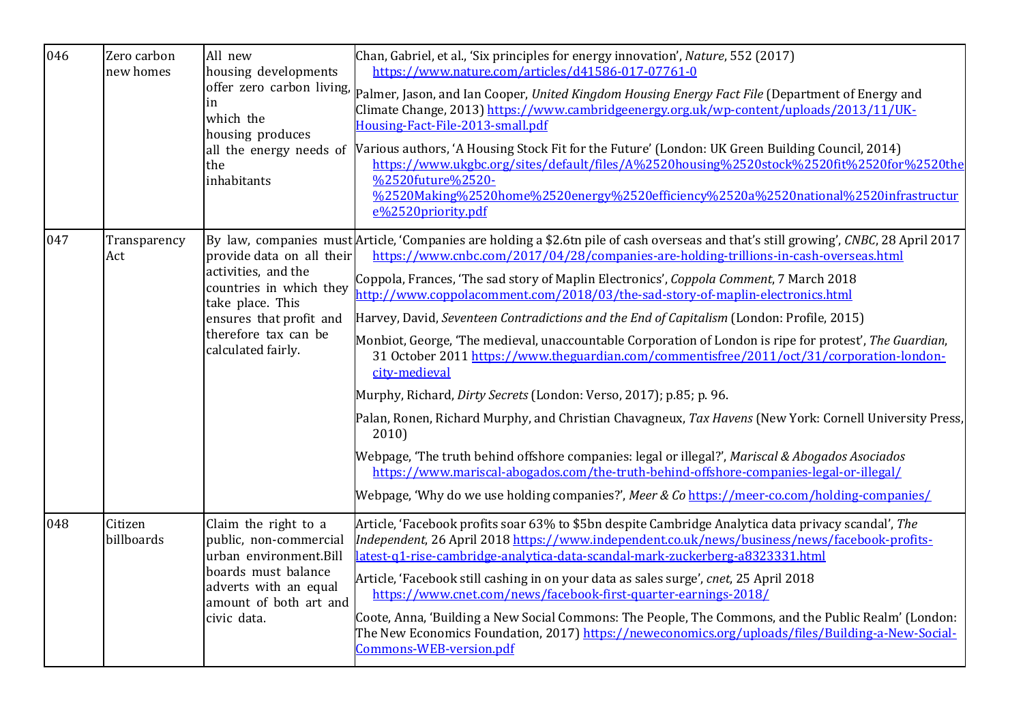| 046 | Zero carbon<br>new homes | All new<br>housing developments<br>which the<br>housing produces<br>the<br>inhabitants                                                                                   | Chan, Gabriel, et al., 'Six principles for energy innovation', Nature, 552 (2017)<br>https://www.nature.com/articles/d41586-017-07761-0<br>offer zero carbon living, Palmer, Jason, and Ian Cooper, United Kingdom Housing Energy Fact File (Department of Energy and<br>Climate Change, 2013) https://www.cambridgeenergy.org.uk/wp-content/uploads/2013/11/UK-<br>Housing-Fact-File-2013-small.pdf<br>all the energy needs of Various authors, 'A Housing Stock Fit for the Future' (London: UK Green Building Council, 2014)<br>https://www.ukgbc.org/sites/default/files/A%2520housing%2520stock%2520fit%2520for%2520the<br>%2520future%2520-<br>%2520Making%2520home%2520energy%2520efficiency%2520a%2520national%2520infrastructur<br>e%2520priority.pdf                                                                                                                                                                                                                                                                                                                                                                                                                                                            |
|-----|--------------------------|--------------------------------------------------------------------------------------------------------------------------------------------------------------------------|---------------------------------------------------------------------------------------------------------------------------------------------------------------------------------------------------------------------------------------------------------------------------------------------------------------------------------------------------------------------------------------------------------------------------------------------------------------------------------------------------------------------------------------------------------------------------------------------------------------------------------------------------------------------------------------------------------------------------------------------------------------------------------------------------------------------------------------------------------------------------------------------------------------------------------------------------------------------------------------------------------------------------------------------------------------------------------------------------------------------------------------------------------------------------------------------------------------------------|
| 047 | Transparency<br>Act      | provide data on all their<br>activities, and the<br>countries in which they<br>take place. This<br>ensures that profit and<br>therefore tax can be<br>calculated fairly. | By law, companies must Article, 'Companies are holding a \$2.6tn pile of cash overseas and that's still growing', CNBC, 28 April 2017<br>https://www.cnbc.com/2017/04/28/companies-are-holding-trillions-in-cash-overseas.html<br>Coppola, Frances, 'The sad story of Maplin Electronics', Coppola Comment, 7 March 2018<br>http://www.coppolacomment.com/2018/03/the-sad-story-of-maplin-electronics.html<br>Harvey, David, Seventeen Contradictions and the End of Capitalism (London: Profile, 2015)<br>Monbiot, George, 'The medieval, unaccountable Corporation of London is ripe for protest', The Guardian,<br>31 October 2011 https://www.theguardian.com/commentisfree/2011/oct/31/corporation-london-<br>city-medieval<br>Murphy, Richard, Dirty Secrets (London: Verso, 2017); p.85; p. 96.<br>Palan, Ronen, Richard Murphy, and Christian Chavagneux, Tax Havens (New York: Cornell University Press,<br>2010<br>Webpage, 'The truth behind offshore companies: legal or illegal?', Mariscal & Abogados Asociados<br>https://www.mariscal-abogados.com/the-truth-behind-offshore-companies-legal-or-illegal/<br>Webpage, 'Why do we use holding companies?', Meer & Co https://meer-co.com/holding-companies/ |
| 048 | Citizen<br>billboards    | Claim the right to a<br>public, non-commercial<br>urban environment.Bill<br>boards must balance<br>adverts with an equal<br>amount of both art and<br>civic data.        | Article, 'Facebook profits soar 63% to \$5bn despite Cambridge Analytica data privacy scandal', The<br>Independent, 26 April 2018 https://www.independent.co.uk/news/business/news/facebook-profits-<br>latest-q1-rise-cambridge-analytica-data-scandal-mark-zuckerberg-a8323331.html<br>Article, 'Facebook still cashing in on your data as sales surge', cnet, 25 April 2018<br>https://www.cnet.com/news/facebook-first-quarter-earnings-2018/<br>Coote, Anna, 'Building a New Social Commons: The People, The Commons, and the Public Realm' (London:<br>The New Economics Foundation, 2017) https://neweconomics.org/uploads/files/Building-a-New-Social-<br>Commons-WEB-version.pdf                                                                                                                                                                                                                                                                                                                                                                                                                                                                                                                                 |